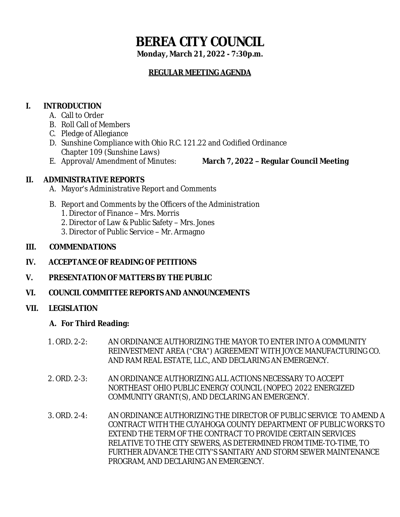# **BEREA CITY COUNCIL**

**Monday, March 21, 2022 - 7:30p.m.**

# **REGULAR MEETING AGENDA**

# **I. INTRODUCTION**

- A. Call to Order
- B. Roll Call of Members
- C. Pledge of Allegiance
- D. Sunshine Compliance with Ohio R.C. 121.22 and Codified Ordinance Chapter 109 (Sunshine Laws)
- 
- E. Approval/Amendment of Minutes: **March 7, 2022 – Regular Council Meeting**

# **II. ADMINISTRATIVE REPORTS**

- A. Mayor's Administrative Report and Comments
- B. Report and Comments by the Officers of the Administration
	- 1. Director of Finance Mrs. Morris
	- 2. Director of Law & Public Safety Mrs. Jones
	- 3. Director of Public Service Mr. Armagno

## **III. COMMENDATIONS**

- **IV. ACCEPTANCE OF READING OF PETITIONS**
- **V. PRESENTATION OF MATTERS BY THE PUBLIC**
- **VI. COUNCIL COMMITTEE REPORTS AND ANNOUNCEMENTS**

## **VII. LEGISLATION**

## **A. For Third Reading:**

- 1. ORD. 2-2: AN ORDINANCE AUTHORIZING THE MAYOR TO ENTER INTO A COMMUNITY REINVESTMENT AREA ("CRA") AGREEMENT WITH JOYCE MANUFACTURING CO. AND RAM REAL ESTATE, LLC., AND DECLARING AN EMERGENCY.
- 2. ORD. 2-3: AN ORDINANCE AUTHORIZING ALL ACTIONS NECESSARY TO ACCEPT NORTHEAST OHIO PUBLIC ENERGY COUNCIL (NOPEC) 2022 ENERGIZED COMMUNITY GRANT(S), AND DECLARING AN EMERGENCY.
- 3. ORD. 2-4: AN ORDINANCE AUTHORIZING THE DIRECTOR OF PUBLIC SERVICE TO AMEND A CONTRACT WITH THE CUYAHOGA COUNTY DEPARTMENT OF PUBLIC WORKS TO EXTEND THE TERM OF THE CONTRACT TO PROVIDE CERTAIN SERVICES RELATIVE TO THE CITY SEWERS, AS DETERMINED FROM TIME-TO-TIME, TO FURTHER ADVANCE THE CITY'S SANITARY AND STORM SEWER MAINTENANCE PROGRAM, AND DECLARING AN EMERGENCY.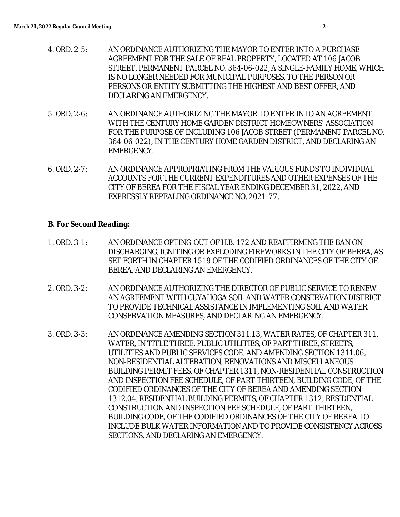- 4. ORD. 2-5: AN ORDINANCE AUTHORIZING THE MAYOR TO ENTER INTO A PURCHASE AGREEMENT FOR THE SALE OF REAL PROPERTY, LOCATED AT 106 JACOB STREET, PERMANENT PARCEL NO. 364-06-022, A SINGLE-FAMILY HOME, WHICH IS NO LONGER NEEDED FOR MUNICIPAL PURPOSES, TO THE PERSON OR PERSONS OR ENTITY SUBMITTING THE HIGHEST AND BEST OFFER, AND DECLARING AN EMERGENCY.
- 5. ORD. 2-6: AN ORDINANCE AUTHORIZING THE MAYOR TO ENTER INTO AN AGREEMENT WITH THE CENTURY HOME GARDEN DISTRICT HOMEOWNERS' ASSOCIATION FOR THE PURPOSE OF INCLUDING 106 JACOB STREET (PERMANENT PARCEL NO. 364-06-022), IN THE CENTURY HOME GARDEN DISTRICT, AND DECLARING AN EMERGENCY.
- 6. ORD. 2-7: AN ORDINANCE APPROPRIATING FROM THE VARIOUS FUNDS TO INDIVIDUAL ACCOUNTS FOR THE CURRENT EXPENDITURES AND OTHER EXPENSES OF THE CITY OF BEREA FOR THE FISCAL YEAR ENDING DECEMBER 31, 2022, AND EXPRESSLY REPEALING ORDINANCE NO. 2021-77.

#### **B. For Second Reading:**

- 1. ORD. 3-1: AN ORDINANCE OPTING-OUT OF H.B. 172 AND REAFFIRMING THE BAN ON DISCHARGING, IGNITING OR EXPLODING FIREWORKS IN THE CITY OF BEREA, AS SET FORTH IN CHAPTER 1519 OF THE CODIFIED ORDINANCES OF THE CITY OF BEREA, AND DECLARING AN EMERGENCY.
- 2. ORD. 3-2: AN ORDINANCE AUTHORIZING THE DIRECTOR OF PUBLIC SERVICE TO RENEW AN AGREEMENT WITH CUYAHOGA SOIL AND WATER CONSERVATION DISTRICT TO PROVIDE TECHNICAL ASSISTANCE IN IMPLEMENTING SOIL AND WATER CONSERVATION MEASURES, AND DECLARING AN EMERGENCY.
- 3. ORD. 3-3: AN ORDINANCE AMENDING SECTION 311.13, WATER RATES, OF CHAPTER 311, WATER, IN TITLE THREE, PUBLIC UTILITIES, OF PART THREE, STREETS, UTILITIES AND PUBLIC SERVICES CODE, AND AMENDING SECTION 1311.06, NON-RESIDENTIAL ALTERATION, RENOVATIONS AND MISCELLANEOUS BUILDING PERMIT FEES, OF CHAPTER 1311, NON-RESIDENTIAL CONSTRUCTION AND INSPECTION FEE SCHEDULE, OF PART THIRTEEN, BUILDING CODE, OF THE CODIFIED ORDINANCES OF THE CITY OF BEREA AND AMENDING SECTION 1312.04, RESIDENTIAL BUILDING PERMITS, OF CHAPTER 1312, RESIDENTIAL CONSTRUCTION AND INSPECTION FEE SCHEDULE, OF PART THIRTEEN, BUILDING CODE, OF THE CODIFIED ORDINANCES OF THE CITY OF BEREA TO INCLUDE BULK WATER INFORMATION AND TO PROVIDE CONSISTENCY ACROSS SECTIONS, AND DECLARING AN EMERGENCY.